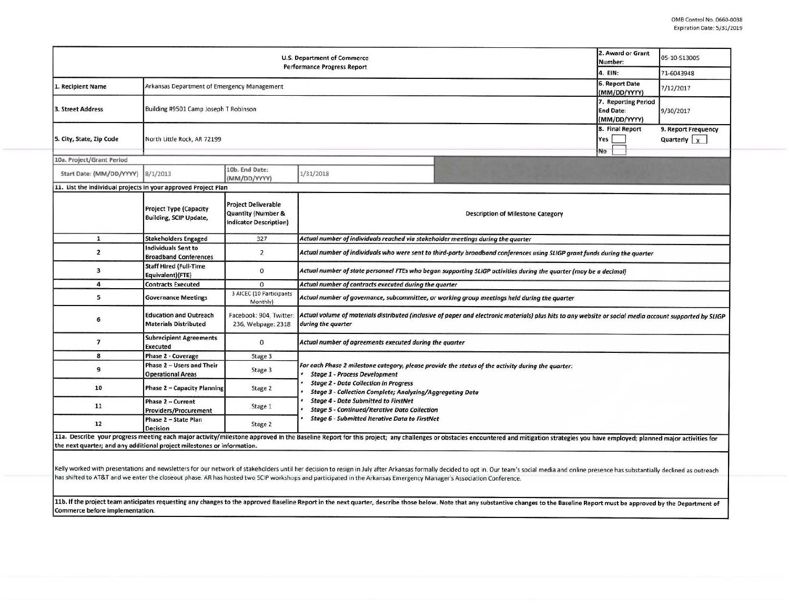| <b>U.S. Department of Commerce</b><br><b>Performance Progress Report</b> |                                                                |                                                                                              |                                                                                                                                                                                                                                                                |  | 2. Award or Grant<br>Number:   | 05-10-513005                         |  |  |  |
|--------------------------------------------------------------------------|----------------------------------------------------------------|----------------------------------------------------------------------------------------------|----------------------------------------------------------------------------------------------------------------------------------------------------------------------------------------------------------------------------------------------------------------|--|--------------------------------|--------------------------------------|--|--|--|
|                                                                          |                                                                |                                                                                              |                                                                                                                                                                                                                                                                |  |                                | 71-6043948                           |  |  |  |
| 1. Recipient Name                                                        | Arkansas Department of Emergency Management                    |                                                                                              |                                                                                                                                                                                                                                                                |  | 6. Report Date<br>(MM/DD/YYYY) | 7/12/2017                            |  |  |  |
| 3. Street Address                                                        | Building #9501 Camp Joseph T Robinson                          |                                                                                              |                                                                                                                                                                                                                                                                |  |                                | 9/30/2017                            |  |  |  |
| 5. City, State, Zip Code                                                 | North Little Rock, AR 72199                                    |                                                                                              |                                                                                                                                                                                                                                                                |  |                                | 9. Report Frequency<br>Quarterly $x$ |  |  |  |
| 10a. Project/Grant Period                                                |                                                                |                                                                                              |                                                                                                                                                                                                                                                                |  | No                             |                                      |  |  |  |
| Start Date: (MM/DD/YYYY)                                                 | 8/1/2013                                                       | 10b. End Date:<br>(MM/DD/YYYY)                                                               | 1/31/2018                                                                                                                                                                                                                                                      |  |                                |                                      |  |  |  |
| 11. List the individual projects in your approved Project Plan           |                                                                |                                                                                              |                                                                                                                                                                                                                                                                |  |                                |                                      |  |  |  |
|                                                                          | <b>Project Type (Capacity</b><br><b>Building, SCIP Update,</b> | <b>Project Deliverable</b><br><b>Quantity (Number &amp;</b><br><b>Indicator Description)</b> | <b>Description of Milestone Category</b>                                                                                                                                                                                                                       |  |                                |                                      |  |  |  |
| $\mathbf{1}$                                                             | <b>Stakeholders Engaged</b>                                    | 327                                                                                          | Actual number of individuals reached via stakeholder meetings during the quarter                                                                                                                                                                               |  |                                |                                      |  |  |  |
| $\overline{2}$                                                           | <b>Individuals Sent to</b><br><b>Broadband Conferences</b>     | $\overline{2}$                                                                               | Actual number of individuals who were sent to third-party broadband conferences using SLIGP grant funds during the quarter                                                                                                                                     |  |                                |                                      |  |  |  |
| 3                                                                        | <b>Staff Hired (Full-Time</b><br>Equivalent)(FTE)              | $\mathbf 0$                                                                                  | Actual number of state personnel FTEs who began supporting SLIGP activities during the quarter (may be a decimal)                                                                                                                                              |  |                                |                                      |  |  |  |
| 4                                                                        | <b>Contracts Executed</b>                                      | $\Omega$                                                                                     | Actual number of contracts executed during the quarter                                                                                                                                                                                                         |  |                                |                                      |  |  |  |
| 5                                                                        | <b>Governance Meetings</b>                                     | 3 AICEC (10 Participants<br>Monthly)                                                         | Actual number of governance, subcommittee, or working group meetings held during the quarter                                                                                                                                                                   |  |                                |                                      |  |  |  |
| 6                                                                        | <b>Education and Outreach</b><br><b>Materials Distributed</b>  | Facebook: 904, Twitter<br>236, Webpage: 2318                                                 | Actual volume of materials distributed (inclusive of paper and electronic materials) plus hits to any website or social media account supported by SLIGP<br>during the quarter                                                                                 |  |                                |                                      |  |  |  |
| $\overline{7}$                                                           | <b>Subrecipient Agreements</b><br><b>Executed</b>              | $\mathbf{0}$                                                                                 | Actual number of agreements executed during the quarter                                                                                                                                                                                                        |  |                                |                                      |  |  |  |
| 8                                                                        | Phase 2 - Coverage                                             | Stage 3                                                                                      |                                                                                                                                                                                                                                                                |  |                                |                                      |  |  |  |
| 9                                                                        | Phase 2 - Users and Their<br><b>Operational Areas</b>          | Stage 3                                                                                      | For each Phase 2 milestone category, please provide the status of the activity during the quarter:<br><b>Stage 1 - Process Development</b><br><b>Stage 2 - Data Collection in Progress</b><br><b>Stage 3 - Collection Complete; Analyzing/Aggregating Data</b> |  |                                |                                      |  |  |  |
| 10                                                                       | <b>Phase 2 - Capacity Planning</b>                             | Stage 2                                                                                      |                                                                                                                                                                                                                                                                |  |                                |                                      |  |  |  |
| 11                                                                       | Phase 2 - Current<br>Providers/Procurement                     | Stage 1                                                                                      | <b>Stage 4 - Data Submitted to FirstNet</b><br><b>Stage 5 - Continued/Iterative Data Collection</b><br><b>Stage 6 - Submitted Iterative Data to FirstNet</b>                                                                                                   |  |                                |                                      |  |  |  |
| 12                                                                       | Phase 2 - State Plan<br><b>Decision</b>                        | Stage 2                                                                                      |                                                                                                                                                                                                                                                                |  |                                |                                      |  |  |  |

Kelly worked with presentations and newsletters for our network of stakeholders until her decision to resign in July after Arkansas formally decided to opt in. Our team's social media and online presence has substantially has shifted to AT&T and we enter the closeout phase. AR has hosted two SCIP workshops and participated in the Arkansas Emergency Manager's Association Conference.

11b. If the project team anticipates requesting any changes to the approved Baseline Report in the next quarter, describe those below. Note that any substantive changes to the Baseline Report must be approved by the Depart Commerce before implementation.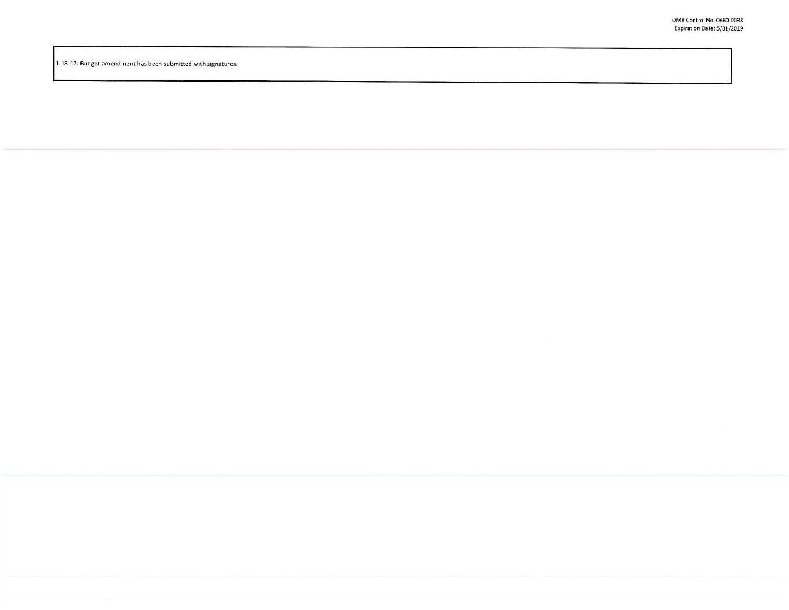1-18-17: Budget amendment has been submitted with signatures.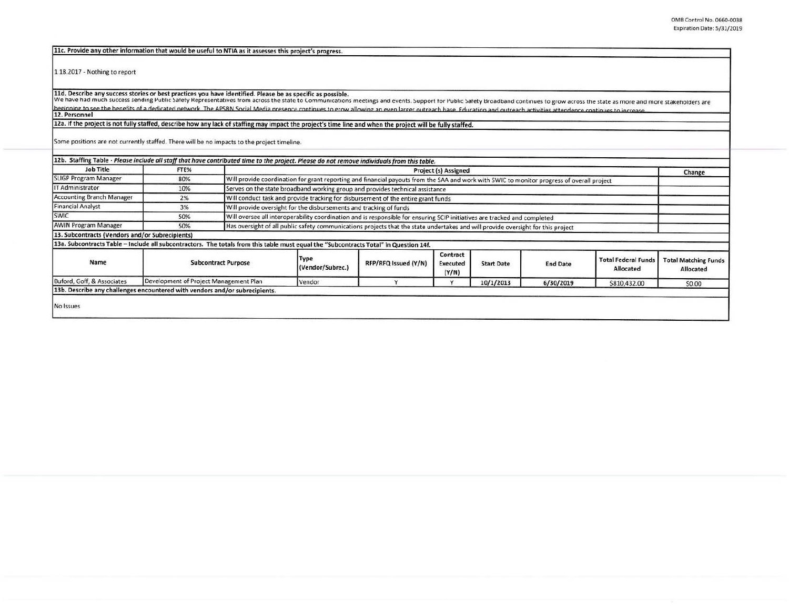11c. Provide any other information that would be useful to NTIA as it assesses this project's progress.

1.18.2017 - Nothing to report

11d. Describe any success stories or best practices you have identified. Please be as specific as possible.<br>We have had much success sending Public Safety Representatives from across the state to Communications meetings an beginning to see the benefits of a dedicated network. The APSBN Social Media presence continues to grow allowing an even larger outreach base. Education and outreach artivities attendence continues to increase **12. Personnel** 

12a. If the project is not fully staffed, describe how any lack of staffing may impact the project's time line and when the project will be fully staffed.

Some positions are not currently staffed. There will be no impacts to the project timeline.

| Job Title                                                                                                                             | FTE%                                   |  | 12b. Staffing Table - Please include all staff that have contributed time to the project. Please do not remove individuals from this table.<br>Project (s) Assigned<br>Change |                      |                                      |                   |                 |                                         |                                          |
|---------------------------------------------------------------------------------------------------------------------------------------|----------------------------------------|--|-------------------------------------------------------------------------------------------------------------------------------------------------------------------------------|----------------------|--------------------------------------|-------------------|-----------------|-----------------------------------------|------------------------------------------|
|                                                                                                                                       |                                        |  |                                                                                                                                                                               |                      |                                      |                   |                 |                                         |                                          |
| <b>SLIGP Program Manager</b>                                                                                                          | 80%                                    |  | Will provide coordination for grant reporting and financial payouts from the SAA and work with SWIC to monitor progress of overall project                                    |                      |                                      |                   |                 |                                         |                                          |
| IT Administrator                                                                                                                      | 10%                                    |  | Serves on the state broadband working group and provides technical assistance                                                                                                 |                      |                                      |                   |                 |                                         |                                          |
| Accounting Branch Manager                                                                                                             | 2%                                     |  | Will conduct task and provide tracking for disbursement of the entire grant funds                                                                                             |                      |                                      |                   |                 |                                         |                                          |
| Financial Analyst                                                                                                                     | 3%                                     |  | Will provide oversight for the disbursements and tracking of funds                                                                                                            |                      |                                      |                   |                 |                                         |                                          |
| SWIC                                                                                                                                  | 50%                                    |  | Will oversee all interoperability coordination and is responsible for ensuring SCIP initiatives are tracked and completed                                                     |                      |                                      |                   |                 |                                         |                                          |
| <b>AWIN Program Manager</b>                                                                                                           | 50%                                    |  | Has oversight of all public safety communications projects that the state undertakes and will provide oversight for this project                                              |                      |                                      |                   |                 |                                         |                                          |
| 13. Subcontracts (Vendors and/or Subrecipients)                                                                                       |                                        |  |                                                                                                                                                                               |                      |                                      |                   |                 |                                         |                                          |
| 13a. Subcontracts Table - Include all subcontractors. The totals from this table must equal the "Subcontracts Total" in Question 14f. |                                        |  |                                                                                                                                                                               |                      |                                      |                   |                 |                                         |                                          |
| Name                                                                                                                                  | <b>Subcontract Purpose</b>             |  | Type<br>(Vendor/Subrec.)                                                                                                                                                      | RFP/RFQ Issued (Y/N) | Contract<br><b>Executed</b><br>(Y/N) | <b>Start Date</b> | <b>End Date</b> | <b>Total Federal Funds</b><br>Allocated | <b>Total Matching Funds</b><br>Allocated |
| Buford, Goff, & Associates                                                                                                            | Development of Project Management Plan |  | Vendor                                                                                                                                                                        |                      |                                      | 10/1/2013         | 6/30/2019       | \$810,432.00                            | \$0.00                                   |
| 13b. Describe any challenges encountered with vendors and/or subrecipients.                                                           |                                        |  |                                                                                                                                                                               |                      |                                      |                   |                 |                                         |                                          |
|                                                                                                                                       |                                        |  |                                                                                                                                                                               |                      |                                      |                   |                 |                                         |                                          |
| No Issues                                                                                                                             |                                        |  |                                                                                                                                                                               |                      |                                      |                   |                 |                                         |                                          |